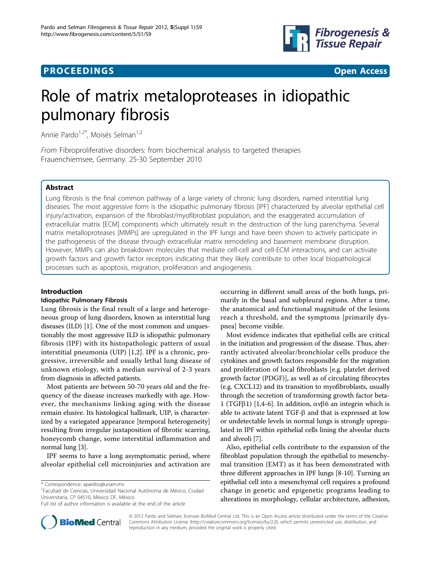## **PROCEEDINGS CONSUMING S** Open Access **CONSUMING S**



# Role of matrix metaloproteases in idiopathic pulmonary fibrosis

Annie Pardo<sup>1,2\*</sup>, Moisés Selman<sup>1,2</sup>

From Fibroproliferative disorders: from biochemical analysis to targeted therapies Frauenchiemsee, Germany. 25-30 September 2010

## Abstract

Lung fibrosis is the final common pathway of a large variety of chronic lung disorders, named interstitial lung diseases. The most aggressive form is the idiopathic pulmonary fibrosis [IPF] characterized by alveolar epithelial cell injury/activation, expansion of the fibroblast/myofibroblast population, and the exaggerated accumulation of extracellular matrix [ECM] components which ultimately result in the destruction of the lung parenchyma. Several matrix metalloproteases [MMPs] are upregulated in the IPF lungs and have been shown to actively participate in the pathogenesis of the disease through extracellular matrix remodeling and basement membrane disruption. However, MMPs can also breakdown molecules that mediate cell-cell and cell-ECM interactions, and can activate growth factors and growth factor receptors indicating that they likely contribute to other local biopathological processes such as apoptosis, migration, proliferation and angiogenesis.

#### Introduction

#### Idiopathic Pulmonary Fibrosis

Lung fibrosis is the final result of a large and heterogeneous group of lung disorders, known as interstitial lung diseases (ILD) [\[1](#page-3-0)]. One of the most common and unquestionably the most aggressive ILD is idiopathic pulmonary fibrosis (IPF) with its histopathologic pattern of usual interstitial pneumonia (UIP) [[1,2](#page-3-0)]. IPF is a chronic, progressive, irreversible and usually lethal lung disease of unknown etiology, with a median survival of 2-3 years from diagnosis in affected patients.

Most patients are between 50-70 years old and the frequency of the disease increases markedly with age. However, the mechanisms linking aging with the disease remain elusive. Its histological hallmark, UIP, is characterized by a variegated appearance [temporal heterogeneity] resulting from irregular juxtaposition of fibrotic scarring, honeycomb change, some interstitial inflammation and normal lung [\[3](#page-3-0)].

IPF seems to have a long asymptomatic period, where alveolar epithelial cell microinjuries and activation are occurring in different small areas of the both lungs, primarily in the basal and subpleural regions. After a time, the anatomical and functional magnitude of the lesions reach a threshold, and the symptoms [primarily dyspnea] become visible.

Most evidence indicates that epithelial cells are critical in the initiation and progression of the disease. Thus, aberrantly activated alveolar/bronchiolar cells produce the cytokines and growth factors responsible for the migration and proliferation of local fibroblasts [e.g. platelet derived growth factor (PDGF)], as well as of circulating fibrocytes (e.g. CXCL12) and its transition to myofibroblasts, usually through the secretion of transforming growth factor beta-1 (TGF $\beta$ 1) [\[1,4](#page-3-0)-[6\]](#page-4-0). In addition,  $\alpha$ v $\beta$ 6 an integrin which is able to activate latent  $TGF-\beta$  and that is expressed at low or undetectable levels in normal lungs is strongly upregulated in IPF within epithelial cells lining the alveolar ducts and alveoli [\[7](#page-4-0)].

Also, epithelial cells contribute to the expansion of the fibroblast population through the epithelial to mesenchymal transition (EMT) as it has been demonstrated with three different approaches in IPF lungs [\[8-10](#page-4-0)]. Turning an epithelial cell into a mesenchymal cell requires a profound change in genetic and epigenetic programs leading to alterations in morphology, cellular architecture, adhesion,



© 2012 Pardo and Selman; licensee BioMed Central Ltd. This is an Open Access article distributed under the terms of the Creative Commons Attribution License [\(http://creativecommons.org/licenses/by/2.0](http://creativecommons.org/licenses/by/2.0)), which permits unrestricted use, distribution, and reproduction in any medium, provided the original work is properly cited.

<sup>\*</sup> Correspondence: [apardos@unam.mx](mailto:apardos@unam.mx)

<sup>1</sup> Facultad de Ciencias, Universidad Nacional Autónoma de México, Ciudad Universitaria, CP 04510, México DF, México

Full list of author information is available at the end of the article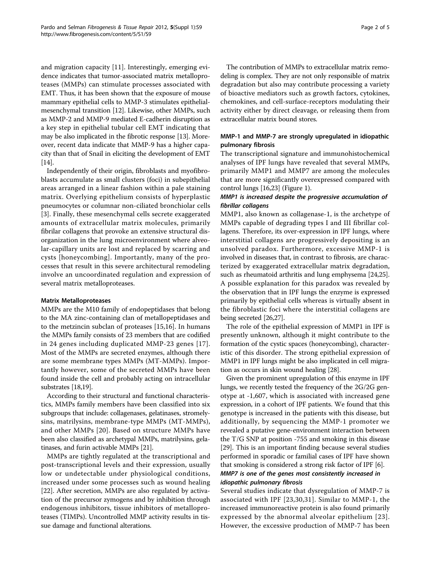and migration capacity [[11](#page-4-0)]. Interestingly, emerging evidence indicates that tumor-associated matrix metalloproteases (MMPs) can stimulate processes associated with EMT. Thus, it has been shown that the exposure of mouse mammary epithelial cells to MMP-3 stimulates epithelialmesenchymal transition [[12](#page-4-0)]. Likewise, other MMPs, such as MMP-2 and MMP-9 mediated E-cadherin disruption as a key step in epithelial tubular cell EMT indicating that may be also implicated in the fibrotic response [[13](#page-4-0)]. Moreover, recent data indicate that MMP-9 has a higher capacity than that of Snail in eliciting the development of EMT [[14](#page-4-0)].

Independently of their origin, fibroblasts and myofibroblasts accumulate as small clusters (foci) in subepithelial areas arranged in a linear fashion within a pale staining matrix. Overlying epithelium consists of hyperplastic pneumocytes or columnar non-ciliated bronchiolar cells [[3\]](#page-3-0). Finally, these mesenchymal cells secrete exaggerated amounts of extracellular matrix molecules, primarily fibrilar collagens that provoke an extensive structural disorganization in the lung microenvironment where alveolar-capillary units are lost and replaced by scarring and cysts [honeycombing]. Importantly, many of the processes that result in this severe architectural remodeling involve an uncoordinated regulation and expression of several matrix metalloproteases.

#### Matrix Metalloproteases

MMPs are the M10 family of endopeptidases that belong to the MA zinc-containing clan of metallopeptidases and to the metzincin subclan of proteases [\[15,16](#page-4-0)]. In humans the MMPs family consists of 23 members that are codified in 24 genes including duplicated MMP-23 genes [[17\]](#page-4-0). Most of the MMPs are secreted enzymes, although there are some membrane types MMPs (MT-MMPs). Importantly however, some of the secreted MMPs have been found inside the cell and probably acting on intracellular substrates [[18,19](#page-4-0)].

According to their structural and functional characteristics, MMPs family members have been classified into six subgroups that include: collagenases, gelatinases, stromelysins, matrilysins, membrane-type MMPs (MT-MMPs), and other MMPs [\[20\]](#page-4-0). Based on structure MMPs have been also classified as archetypal MMPs, matrilysins, gelatinases, and furin activable MMPs [\[21](#page-4-0)].

MMPs are tightly regulated at the transcriptional and post-transcriptional levels and their expression, usually low or undetectable under physiological conditions, increased under some processes such as wound healing [[22\]](#page-4-0). After secretion, MMPs are also regulated by activation of the precursor zymogens and by inhibition through endogenous inhibitors, tissue inhibitors of metalloproteases (TIMPs). Uncontrolled MMP activity results in tissue damage and functional alterations.

The contribution of MMPs to extracellular matrix remodeling is complex. They are not only responsible of matrix degradation but also may contribute processing a variety of bioactive mediators such as growth factors, cytokines, chemokines, and cell-surface-receptors modulating their activity either by direct cleavage, or releasing them from extracellular matrix bound stores.

## MMP-1 and MMP-7 are strongly upregulated in idiopathic pulmonary fibrosis

The transcriptional signature and immunohistochemical analyses of IPF lungs have revealed that several MMPs, primarily MMP1 and MMP7 are among the molecules that are more significantly overexpressed compared with control lungs [\[16,23](#page-4-0)] (Figure [1\)](#page-2-0).

## MMP1 is increased despite the progressive accumulation of fibrillar collagens

MMP1, also known as collagenase-1, is the archetype of MMPs capable of degrading types I and III fibrillar collagens. Therefore, its over-expression in IPF lungs, where interstitial collagens are progressively depositing is an unsolved paradox. Furthermore, excessive MMP-1 is involved in diseases that, in contrast to fibrosis, are characterized by exaggerated extracellular matrix degradation, such as rheumatoid arthritis and lung emphysema [[24,25](#page-4-0)]. A possible explanation for this paradox was revealed by the observation that in IPF lungs the enzyme is expressed primarily by epithelial cells whereas is virtually absent in the fibroblastic foci where the interstitial collagens are being secreted [\[26,27](#page-4-0)].

The role of the epithelial expression of MMP1 in IPF is presently unknown, although it might contribute to the formation of the cystic spaces (honeycombing), characteristic of this disorder. The strong epithelial expression of MMP1 in IPF lungs might be also implicated in cell migration as occurs in skin wound healing [\[28\]](#page-4-0).

Given the prominent upregulation of this enzyme in IPF lungs, we recently tested the frequency of the 2G/2G genotype at -1,607, which is associated with increased gene expression, in a cohort of IPF patients. We found that this genotype is increased in the patients with this disease, but additionally, by sequencing the MMP-1 promoter we revealed a putative gene-environment interaction between the T/G SNP at position -755 and smoking in this disease [[29\]](#page-4-0). This is an important finding because several studies performed in sporadic or familial cases of IPF have shown that smoking is considered a strong risk factor of IPF [[6](#page-4-0)]. MMP7 is one of the genes most consistently increased in

## idiopathic pulmonary fibrosis

Several studies indicate that dysregulation of MMP-7 is associated with IPF [[23,30](#page-4-0),[31](#page-4-0)]. Similar to MMP-1, the increased immunoreactive protein is also found primarily expressed by the abnormal alveolar epithelium [[23\]](#page-4-0). However, the excessive production of MMP-7 has been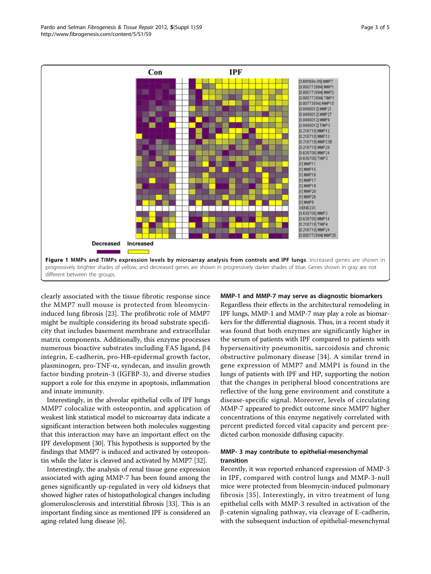<span id="page-2-0"></span>

clearly associated with the tissue fibrotic response since the MMP7 null mouse is protected from bleomycininduced lung fibrosis [[23\]](#page-4-0). The profibrotic role of MMP7 might be multiple considering its broad substrate specificity that includes basement membrane and extracellular matrix components. Additionally, this enzyme processes numerous bioactive substrates including FAS ligand,  $\beta$ 4 integrin, E-cadherin, pro-HB-epidermal growth factor, plasminogen, pro-TNF-a, syndecan, and insulin growth factor binding protein-3 (IGFBP-3), and diverse studies support a role for this enzyme in apoptosis, inflammation and innate immunity.

Interestingly, in the alveolar epithelial cells of IPF lungs MMP7 colocalize with osteopontin, and application of weakest link statistical model to microarray data indicate a significant interaction between both molecules suggesting that this interaction may have an important effect on the IPF development [[30](#page-4-0)]. This hypothesis is supported by the findings that MMP7 is induced and activated by osteopontin while the later is cleaved and activated by MMP7 [\[32\]](#page-4-0).

Interestingly, the analysis of renal tissue gene expression associated with aging MMP-7 has been found among the genes significantly up-regulated in very old kidneys that showed higher rates of histopathological changes including glomerulosclerosis and interstitial fibrosis [[33](#page-4-0)]. This is an important finding since as mentioned IPF is considered an aging-related lung disease [[6\]](#page-4-0).

MMP-1 and MMP-7 may serve as diagnostic biomarkers Regardless their effects in the architectural remodeling in IPF lungs, MMP-1 and MMP-7 may play a role as biomarkers for the differential diagnosis. Thus, in a recent study it was found that both enzymes are significantly higher in the serum of patients with IPF compared to patients with hypersensitivity pneumonitis, sarcoidosis and chronic obstructive pulmonary disease [[34](#page-4-0)]. A similar trend in gene expression of MMP7 and MMP1 is found in the lungs of patients with IPF and HP, supporting the notion that the changes in peripheral blood concentrations are reflective of the lung gene environment and constitute a disease-specific signal. Moreover, levels of circulating MMP-7 appeared to predict outcome since MMP7 higher concentrations of this enzyme negatively correlated with percent predicted forced vital capacity and percent predicted carbon monoxide diffusing capacity.

## MMP- 3 may contribute to epithelial-mesenchymal transition

Recently, it was reported enhanced expression of MMP-3 in IPF, compared with control lungs and MMP-3-null mice were protected from bleomycin-induced pulmonary fibrosis [[35](#page-4-0)]. Interestingly, in vitro treatment of lung epithelial cells with MMP-3 resulted in activation of the  $\beta$ -catenin signaling pathway, via cleavage of E-cadherin, with the subsequent induction of epithelial-mesenchymal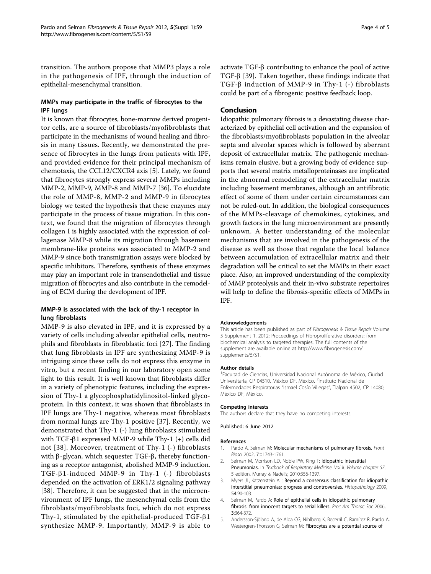<span id="page-3-0"></span>transition. The authors propose that MMP3 plays a role in the pathogenesis of IPF, through the induction of epithelial-mesenchymal transition.

#### MMPs may participate in the traffic of fibrocytes to the IPF lungs

It is known that fibrocytes, bone-marrow derived progenitor cells, are a source of fibroblasts/myofibroblasts that participate in the mechanisms of wound healing and fibrosis in many tissues. Recently, we demonstrated the presence of fibrocytes in the lungs from patients with IPF, and provided evidence for their principal mechanism of chemotaxis, the CCL12/CXCR4 axis [5]. Lately, we found that fibrocytes strongly express several MMPs including MMP-2, MMP-9, MMP-8 and MMP-7 [[36\]](#page-4-0). To elucidate the role of MMP-8, MMP-2 and MMP-9 in fibrocytes biology we tested the hypothesis that these enzymes may participate in the process of tissue migration. In this context, we found that the migration of fibrocytes through collagen I is highly associated with the expression of collagenase MMP-8 while its migration through basement membrane-like proteins was associated to MMP-2 and MMP-9 since both transmigration assays were blocked by specific inhibitors. Therefore, synthesis of these enzymes may play an important role in transendothelial and tissue migration of fibrocytes and also contribute in the remodeling of ECM during the development of IPF.

#### MMP-9 is associated with the lack of thy-1 receptor in lung fibroblasts

MMP-9 is also elevated in IPF, and it is expressed by a variety of cells including alveolar epithelial cells, neutrophils and fibroblasts in fibroblastic foci [[27\]](#page-4-0). The finding that lung fibroblasts in IPF are synthesizing MMP-9 is intriguing since these cells do not express this enzyme in vitro, but a recent finding in our laboratory open some light to this result. It is well known that fibroblasts differ in a variety of phenotypic features, including the expression of Thy-1 a glycophosphatidylinositol-linked glycoprotein. In this context, it was shown that fibroblasts in IPF lungs are Thy-1 negative, whereas most fibroblasts from normal lungs are Thy-1 positive [[37\]](#page-4-0). Recently, we demonstrated that Thy-1 (-) lung fibroblasts stimulated with TGF- $\beta$ 1 expressed MMP-9 while Thy-1 (+) cells did not [[38](#page-4-0)]. Moreover, treatment of Thy-1 (-) fibroblasts with  $\beta$ -glycan, which sequester TGF- $\beta$ , thereby functioning as a receptor antagonist, abolished MMP-9 induction. TGF- $\beta$ 1-induced MMP-9 in Thy-1 (-) fibroblasts depended on the activation of ERK1/2 signaling pathway [[38\]](#page-4-0). Therefore, it can be suggested that in the microenvironment of IPF lungs, the mesenchymal cells from the fibroblasts/myofibroblasts foci, which do not express Thy-1, stimulated by the epithelial-produced TGF- $\beta$ 1 synthesize MMP-9. Importantly, MMP-9 is able to

#### Conclusion

Idiopathic pulmonary fibrosis is a devastating disease characterized by epithelial cell activation and the expansion of the fibroblasts/myofibroblasts population in the alveolar septa and alveolar spaces which is followed by aberrant deposit of extracellular matrix. The pathogenic mechanisms remain elusive, but a growing body of evidence supports that several matrix metalloproteinases are implicated in the abnormal remodeling of the extracellular matrix including basement membranes, although an antifibrotic effect of some of them under certain circumstances can not be ruled-out. In addition, the biological consequences of the MMPs-cleavage of chemokines, cytokines, and growth factors in the lung microenvironment are presently unknown. A better understanding of the molecular mechanisms that are involved in the pathogenesis of the disease as well as those that regulate the local balance between accumulation of extracellular matrix and their degradation will be critical to set the MMPs in their exact place. Also, an improved understanding of the complexity of MMP proteolysis and their in-vivo substrate repertoires will help to define the fibrosis-specific effects of MMPs in IPF.

#### Acknowledgements

This article has been published as part of Fibrogenesis & Tissue Repair Volume 5 Supplement 1, 2012: Proceedings of Fibroproliferative disorders: from biochemical analysis to targeted therapies. The full contents of the supplement are available online at [http://www.fibrogenesis.com/](http://www.fibrogenesis.com/supplements/5/S1) [supplements/5/S1.](http://www.fibrogenesis.com/supplements/5/S1)

#### Author details

1 Facultad de Ciencias, Universidad Nacional Autónoma de México, Ciudad Universitaria, CP 04510, México DF, México. <sup>2</sup>Instituto Nacional de Enfermedades Respiratorias "Ismael Cosío Villegas", Tlalpan 4502, CP 14080, México DF, México.

#### Competing interests

The authors declare that they have no competing interests.

Published: 6 June 2012

#### References

- 1. Pardo A, Selman M: Molecular mechanisms of pulmonary fibrosis. Front Biosci 2002, 7:d1743-1761.
- 2. Selman M, Morrison LD, Noble PW, King T: Idiopathic Interstitial Pneumonias. In Textbook of Respiratory Medicine. Vol II. Volume chapter 57.. 5 edition. Murray & Nadel's; 2010:356-1397.
- 3. Myers JL, Katzenstein AL: Beyond a consensus classification for idiopathic interstitial pneumonias: progress and controversies. Histopathology 2009, 54:90-103.
- 4. Selman M, Pardo A: Role of epithelial cells in idiopathic pulmonary fibrosis: from innocent targets to serial killers. Proc Am Thorac Soc 2006, 3:364-372.
- 5. Andersson-Sjöland A, de Alba CG, Nihlberg K, Becerril C, Ramírez R, Pardo A, Westergren-Thorsson G, Selman M: Fibrocytes are a potential source of